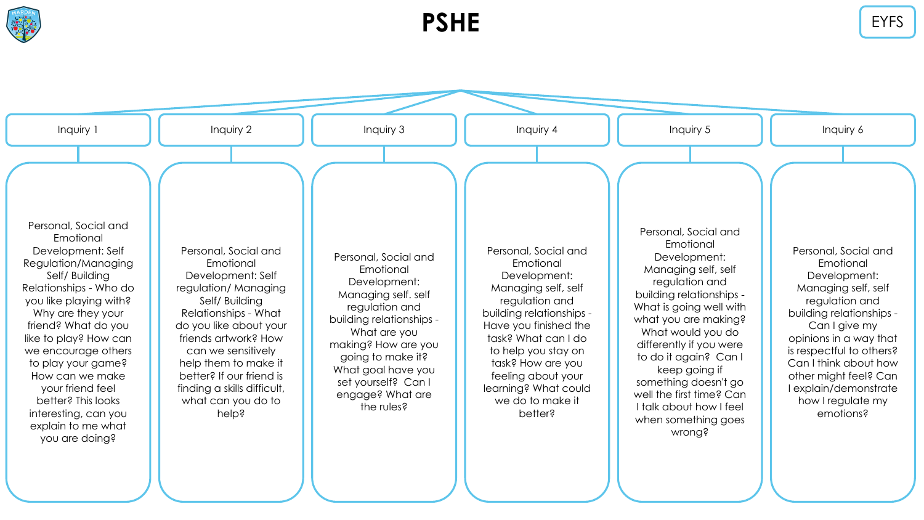

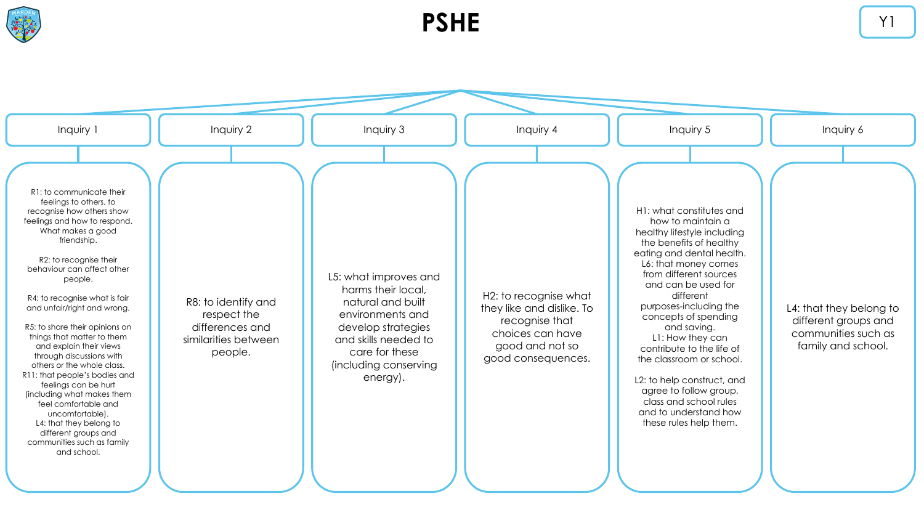

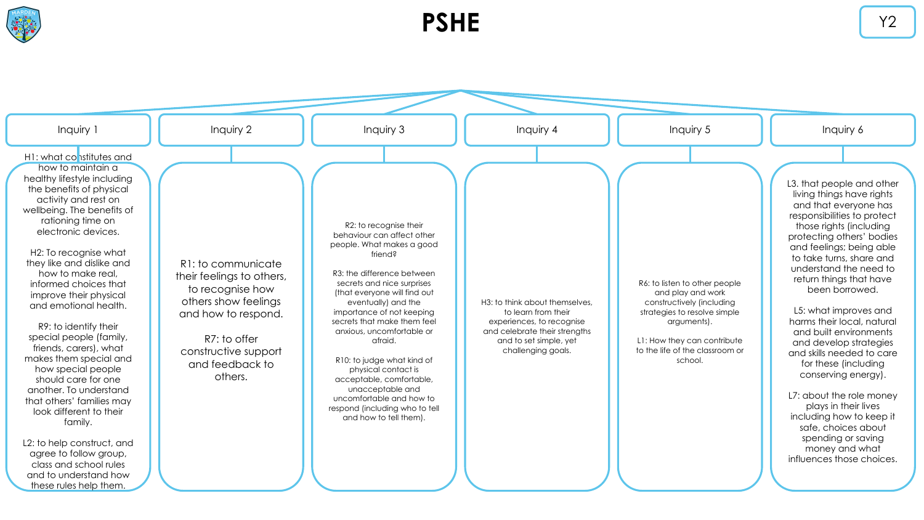

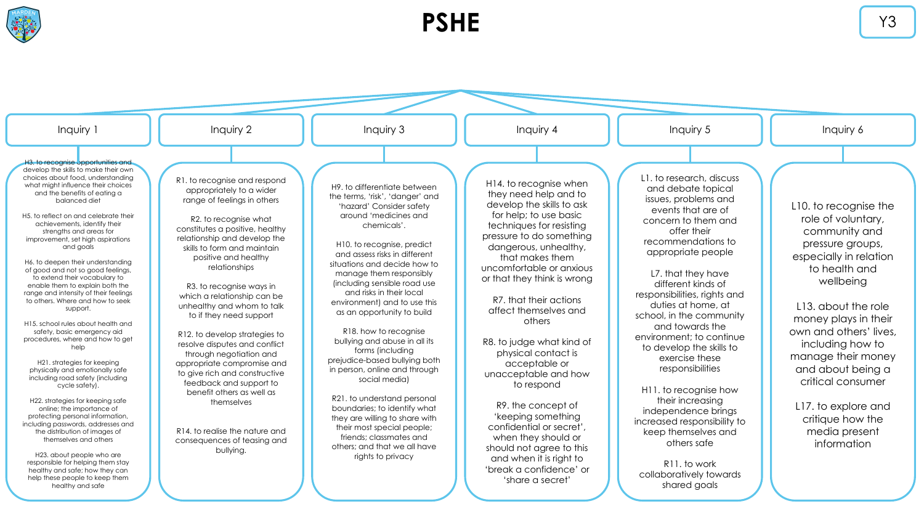

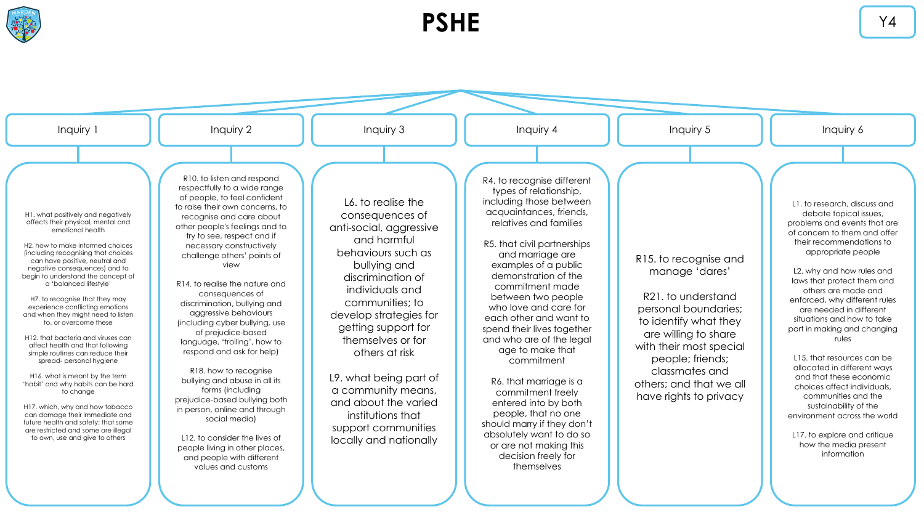

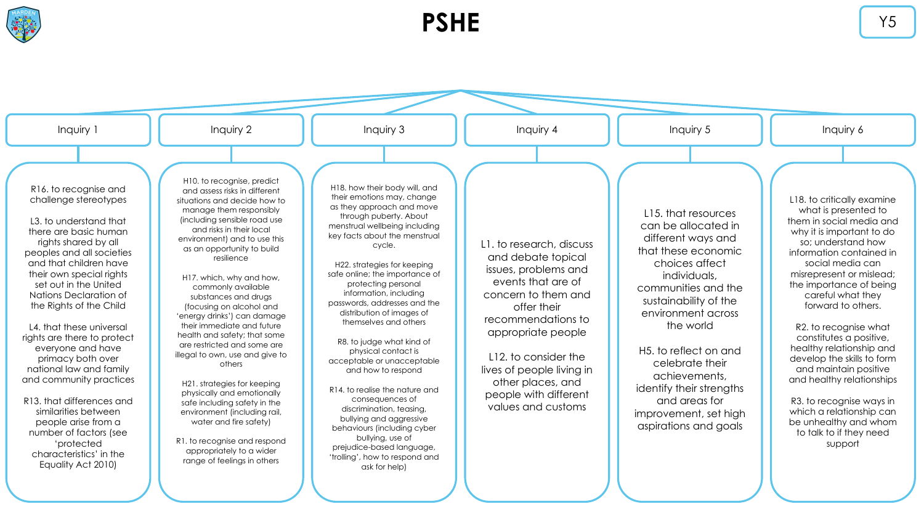